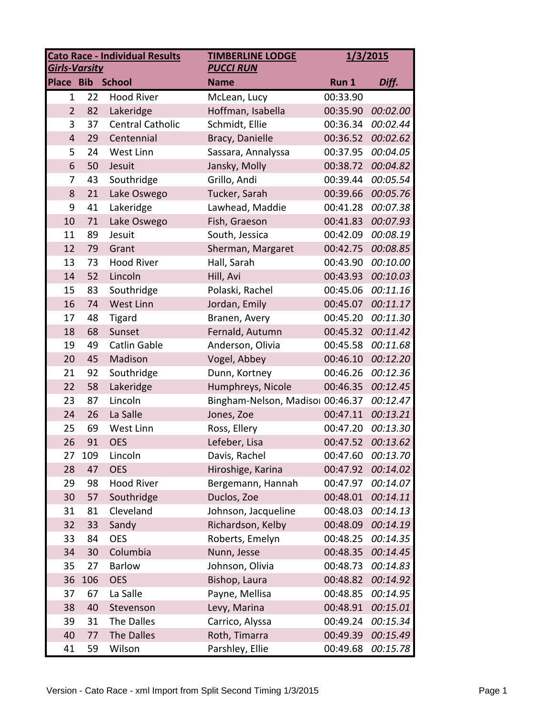| <b>Cato Race - Individual Results</b><br><b>TIMBERLINE LODGE</b><br><b>Girls-Varsity</b><br><b>PUCCI RUN</b> |     |                         | 1/3/2015                         |          |          |
|--------------------------------------------------------------------------------------------------------------|-----|-------------------------|----------------------------------|----------|----------|
| <b>Place Bib</b>                                                                                             |     | <b>School</b>           | <b>Name</b>                      | Run 1    | Diff.    |
| 1                                                                                                            | 22  | <b>Hood River</b>       | McLean, Lucy                     | 00:33.90 |          |
| $\overline{2}$                                                                                               | 82  | Lakeridge               | Hoffman, Isabella                | 00:35.90 | 00:02.00 |
| 3                                                                                                            | 37  | <b>Central Catholic</b> | Schmidt, Ellie                   | 00:36.34 | 00:02.44 |
| $\overline{4}$                                                                                               | 29  | Centennial              | Bracy, Danielle                  | 00:36.52 | 00:02.62 |
| 5                                                                                                            | 24  | West Linn               | Sassara, Annalyssa               | 00:37.95 | 00:04.05 |
| 6                                                                                                            | 50  | Jesuit                  | Jansky, Molly                    | 00:38.72 | 00:04.82 |
| 7                                                                                                            | 43  | Southridge              | Grillo, Andi                     | 00:39.44 | 00:05.54 |
| 8                                                                                                            | 21  | Lake Oswego             | Tucker, Sarah                    | 00:39.66 | 00:05.76 |
| 9                                                                                                            | 41  | Lakeridge               | Lawhead, Maddie                  | 00:41.28 | 00:07.38 |
| 10                                                                                                           | 71  | Lake Oswego             | Fish, Graeson                    | 00:41.83 | 00:07.93 |
| 11                                                                                                           | 89  | Jesuit                  | South, Jessica                   | 00:42.09 | 00:08.19 |
| 12                                                                                                           | 79  | Grant                   | Sherman, Margaret                | 00:42.75 | 00:08.85 |
| 13                                                                                                           | 73  | <b>Hood River</b>       | Hall, Sarah                      | 00:43.90 | 00:10.00 |
| 14                                                                                                           | 52  | Lincoln                 | Hill, Avi                        | 00:43.93 | 00:10.03 |
| 15                                                                                                           | 83  | Southridge              | Polaski, Rachel                  | 00:45.06 | 00:11.16 |
| 16                                                                                                           | 74  | West Linn               | Jordan, Emily                    | 00:45.07 | 00:11.17 |
| 17                                                                                                           | 48  | <b>Tigard</b>           | Branen, Avery                    | 00:45.20 | 00:11.30 |
| 18                                                                                                           | 68  | Sunset                  | Fernald, Autumn                  | 00:45.32 | 00:11.42 |
| 19                                                                                                           | 49  | Catlin Gable            | Anderson, Olivia                 | 00:45.58 | 00:11.68 |
| 20                                                                                                           | 45  | Madison                 | Vogel, Abbey                     | 00:46.10 | 00:12.20 |
| 21                                                                                                           | 92  | Southridge              | Dunn, Kortney                    | 00:46.26 | 00:12.36 |
| 22                                                                                                           | 58  | Lakeridge               | Humphreys, Nicole                | 00:46.35 | 00:12.45 |
| 23                                                                                                           | 87  | Lincoln                 | Bingham-Nelson, Madisor 00:46.37 |          | 00:12.47 |
| 24                                                                                                           | 26  | La Salle                | Jones, Zoe                       | 00:47.11 | 00:13.21 |
| 25                                                                                                           | 69  | West Linn               | Ross, Ellery                     | 00:47.20 | 00:13.30 |
| 26                                                                                                           | 91  | <b>OES</b>              | Lefeber, Lisa                    | 00:47.52 | 00:13.62 |
| 27                                                                                                           | 109 | Lincoln                 | Davis, Rachel                    | 00:47.60 | 00:13.70 |
| 28                                                                                                           | 47  | <b>OES</b>              | Hiroshige, Karina                | 00:47.92 | 00:14.02 |
| 29                                                                                                           | 98  | <b>Hood River</b>       | Bergemann, Hannah                | 00:47.97 | 00:14.07 |
| 30                                                                                                           | 57  | Southridge              | Duclos, Zoe                      | 00:48.01 | 00:14.11 |
| 31                                                                                                           | 81  | Cleveland               | Johnson, Jacqueline              | 00:48.03 | 00:14.13 |
| 32                                                                                                           | 33  | Sandy                   | Richardson, Kelby                | 00:48.09 | 00:14.19 |
| 33                                                                                                           | 84  | <b>OES</b>              | Roberts, Emelyn                  | 00:48.25 | 00:14.35 |
| 34                                                                                                           | 30  | Columbia                | Nunn, Jesse                      | 00:48.35 | 00:14.45 |
| 35                                                                                                           | 27  | <b>Barlow</b>           | Johnson, Olivia                  | 00:48.73 | 00:14.83 |
| 36                                                                                                           | 106 | <b>OES</b>              | Bishop, Laura                    | 00:48.82 | 00:14.92 |
| 37                                                                                                           | 67  | La Salle                | Payne, Mellisa                   | 00:48.85 | 00:14.95 |
| 38                                                                                                           | 40  | Stevenson               | Levy, Marina                     | 00:48.91 | 00:15.01 |
| 39                                                                                                           | 31  | The Dalles              | Carrico, Alyssa                  | 00:49.24 | 00:15.34 |
| 40                                                                                                           | 77  | The Dalles              | Roth, Timarra                    | 00:49.39 | 00:15.49 |
| 41                                                                                                           | 59  | Wilson                  | Parshley, Ellie                  | 00:49.68 | 00:15.78 |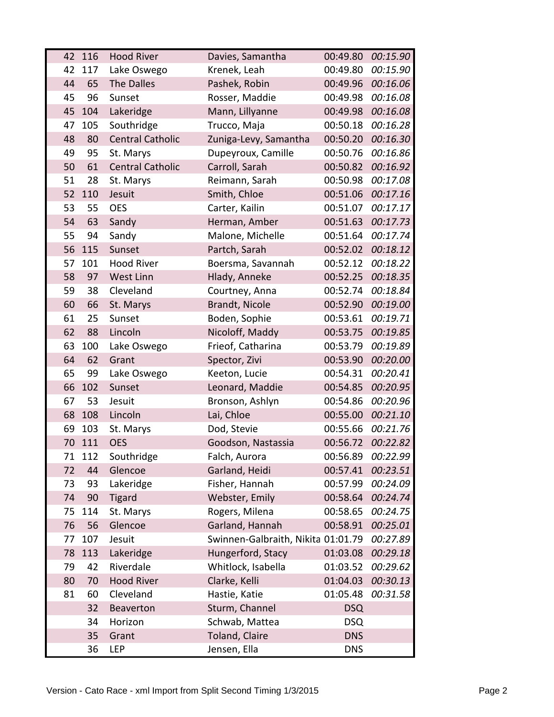| 42 | 116 | <b>Hood River</b>       | Davies, Samantha                   | 00:49.80   | 00:15.90 |
|----|-----|-------------------------|------------------------------------|------------|----------|
| 42 | 117 | Lake Oswego             | Krenek, Leah                       | 00:49.80   | 00:15.90 |
| 44 | 65  | The Dalles              | Pashek, Robin                      | 00:49.96   | 00:16.06 |
| 45 | 96  | Sunset                  | Rosser, Maddie                     | 00:49.98   | 00:16.08 |
| 45 | 104 | Lakeridge               | Mann, Lillyanne                    | 00:49.98   | 00:16.08 |
| 47 | 105 | Southridge              | Trucco, Maja                       | 00:50.18   | 00:16.28 |
| 48 | 80  | <b>Central Catholic</b> | Zuniga-Levy, Samantha              | 00:50.20   | 00:16.30 |
| 49 | 95  | St. Marys               | Dupeyroux, Camille                 | 00:50.76   | 00:16.86 |
| 50 | 61  | <b>Central Catholic</b> | Carroll, Sarah                     | 00:50.82   | 00:16.92 |
| 51 | 28  | St. Marys               | Reimann, Sarah                     | 00:50.98   | 00:17.08 |
| 52 | 110 | Jesuit                  | Smith, Chloe                       | 00:51.06   | 00:17.16 |
| 53 | 55  | <b>OES</b>              | Carter, Kailin                     | 00:51.07   | 00:17.17 |
| 54 | 63  | Sandy                   | Herman, Amber                      | 00:51.63   | 00:17.73 |
| 55 | 94  | Sandy                   | Malone, Michelle                   | 00:51.64   | 00:17.74 |
| 56 | 115 | Sunset                  | Partch, Sarah                      | 00:52.02   | 00:18.12 |
| 57 | 101 | <b>Hood River</b>       | Boersma, Savannah                  | 00:52.12   | 00:18.22 |
| 58 | 97  | West Linn               | Hlady, Anneke                      | 00:52.25   | 00:18.35 |
| 59 | 38  | Cleveland               | Courtney, Anna                     | 00:52.74   | 00:18.84 |
| 60 | 66  | St. Marys               | Brandt, Nicole                     | 00:52.90   | 00:19.00 |
| 61 | 25  | Sunset                  | Boden, Sophie                      | 00:53.61   | 00:19.71 |
| 62 | 88  | Lincoln                 | Nicoloff, Maddy                    | 00:53.75   | 00:19.85 |
| 63 | 100 | Lake Oswego             | Frieof, Catharina                  | 00:53.79   | 00:19.89 |
| 64 | 62  | Grant                   | Spector, Zivi                      | 00:53.90   | 00:20.00 |
| 65 | 99  | Lake Oswego             | Keeton, Lucie                      | 00:54.31   | 00:20.41 |
| 66 | 102 | Sunset                  | Leonard, Maddie                    | 00:54.85   | 00:20.95 |
| 67 | 53  | Jesuit                  | Bronson, Ashlyn                    | 00:54.86   | 00:20.96 |
| 68 | 108 | Lincoln                 | Lai, Chloe                         | 00:55.00   | 00:21.10 |
| 69 | 103 | St. Marys               | Dod, Stevie                        | 00:55.66   | 00:21.76 |
| 70 | 111 | <b>OES</b>              | Goodson, Nastassia                 | 00:56.72   | 00:22.82 |
| 71 | 112 | Southridge              | Falch, Aurora                      | 00:56.89   | 00:22.99 |
| 72 | 44  | Glencoe                 | Garland, Heidi                     | 00:57.41   | 00:23.51 |
| 73 | 93  | Lakeridge               | Fisher, Hannah                     | 00:57.99   | 00:24.09 |
| 74 | 90  | <b>Tigard</b>           | Webster, Emily                     | 00:58.64   | 00:24.74 |
| 75 | 114 | St. Marys               | Rogers, Milena                     | 00:58.65   | 00:24.75 |
| 76 | 56  | Glencoe                 | Garland, Hannah                    | 00:58.91   | 00:25.01 |
| 77 | 107 | Jesuit                  | Swinnen-Galbraith, Nikita 01:01.79 |            | 00:27.89 |
| 78 | 113 | Lakeridge               | Hungerford, Stacy                  | 01:03.08   | 00:29.18 |
| 79 | 42  | Riverdale               | Whitlock, Isabella                 | 01:03.52   | 00:29.62 |
| 80 | 70  | <b>Hood River</b>       | Clarke, Kelli                      | 01:04.03   | 00:30.13 |
| 81 | 60  | Cleveland               | Hastie, Katie                      | 01:05.48   | 00:31.58 |
|    | 32  | Beaverton               | Sturm, Channel                     | <b>DSQ</b> |          |
|    | 34  | Horizon                 | Schwab, Mattea                     | <b>DSQ</b> |          |
|    | 35  | Grant                   | Toland, Claire                     | <b>DNS</b> |          |
|    | 36  | <b>LEP</b>              | Jensen, Ella                       | <b>DNS</b> |          |